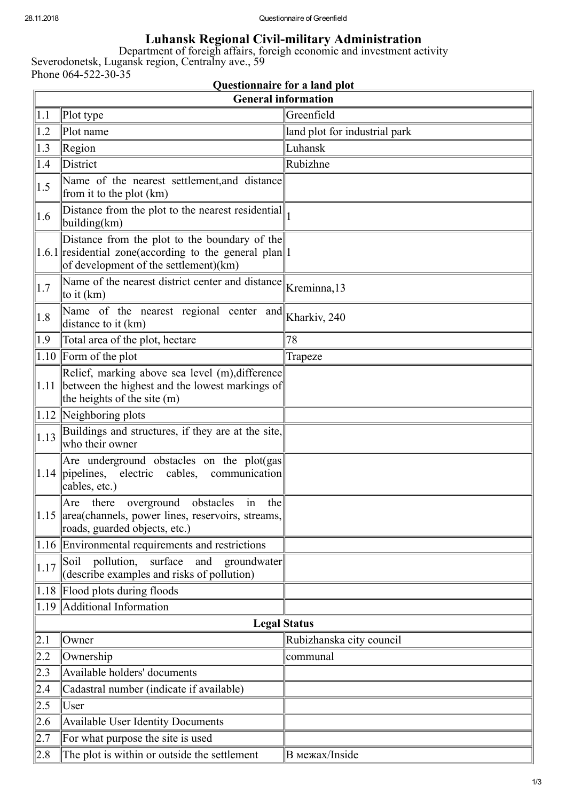## Luhansk Regional Civil-military Administration

Department of foreigh affairs, foreigh economic and investment activity Severodonetsk, Lugansk region, Centralny ave., 59 Phone  $064 - 522 - 30 - 35$ 

| <b>Questionnaire for a land plot</b> |                                                                                                                                                            |                               |  |  |
|--------------------------------------|------------------------------------------------------------------------------------------------------------------------------------------------------------|-------------------------------|--|--|
| <b>General information</b>           |                                                                                                                                                            |                               |  |  |
| 1.1                                  | Plot type                                                                                                                                                  | Greenfield                    |  |  |
| 1.2                                  | Plot name                                                                                                                                                  | land plot for industrial park |  |  |
| $ 1.3\rangle$                        | Region                                                                                                                                                     | Luhansk                       |  |  |
| 1.4                                  | District                                                                                                                                                   | Rubizhne                      |  |  |
| 1.5                                  | Name of the nearest settlement, and distance<br>from it to the plot (km)                                                                                   |                               |  |  |
| 1.6                                  | Distance from the plot to the nearest residential<br>building(km)                                                                                          |                               |  |  |
|                                      | Distance from the plot to the boundary of the<br>$\ 1.6.1\ $ residential zone(according to the general plan $\ 1$<br>of development of the settlement)(km) |                               |  |  |
| $\vert 1.7 \vert$                    | Name of the nearest district center and distance<br>to it $(km)$                                                                                           | Kreminna, 13                  |  |  |
| 1.8                                  | Name of the nearest regional center and<br>distance to it (km)                                                                                             | Kharkiv, 240                  |  |  |
| $ 1.9\rangle$                        | Total area of the plot, hectare                                                                                                                            | 78                            |  |  |
|                                      | $1.10$ Form of the plot                                                                                                                                    | Trapeze                       |  |  |
| $ 1.11\rangle$                       | Relief, marking above sea level (m), difference<br>between the highest and the lowest markings of<br>the heights of the site (m)                           |                               |  |  |
|                                      | $ 1.12 $ Neighboring plots                                                                                                                                 |                               |  |  |
| 1.13                                 | Buildings and structures, if they are at the site,<br>who their owner                                                                                      |                               |  |  |
| 1.14                                 | Are underground obstacles on the plot(gas)<br>pipelines,<br>electric cables, communication<br>cables, etc.)                                                |                               |  |  |
|                                      | the<br>Are<br>there<br>overground<br>obstacles<br>in<br>$\ 1.15\ $ area (channels, power lines, reservoirs, streams,<br>roads, guarded objects, etc.)      |                               |  |  |
|                                      | $\vert 1.16 \vert$ Environmental requirements and restrictions                                                                                             |                               |  |  |
| 1.17                                 | pollution,<br>surface<br>Soil<br>and<br>groundwater<br>(describe examples and risks of pollution)                                                          |                               |  |  |
|                                      | 1.18 Flood plots during floods                                                                                                                             |                               |  |  |
|                                      | 1.19 Additional Information                                                                                                                                |                               |  |  |
|                                      | <b>Legal Status</b>                                                                                                                                        |                               |  |  |
| 2.1                                  | Owner                                                                                                                                                      | Rubizhanska city council      |  |  |
| 2.2                                  | Ownership                                                                                                                                                  | communal                      |  |  |
| 2.3                                  | Available holders' documents                                                                                                                               |                               |  |  |
| 2.4                                  | Cadastral number (indicate if available)                                                                                                                   |                               |  |  |
| 2.5                                  | User                                                                                                                                                       |                               |  |  |
| 2.6                                  | Available User Identity Documents                                                                                                                          |                               |  |  |
| 2.7                                  | For what purpose the site is used                                                                                                                          |                               |  |  |
| 2.8                                  | The plot is within or outside the settlement                                                                                                               | <b>В</b> межах/Inside         |  |  |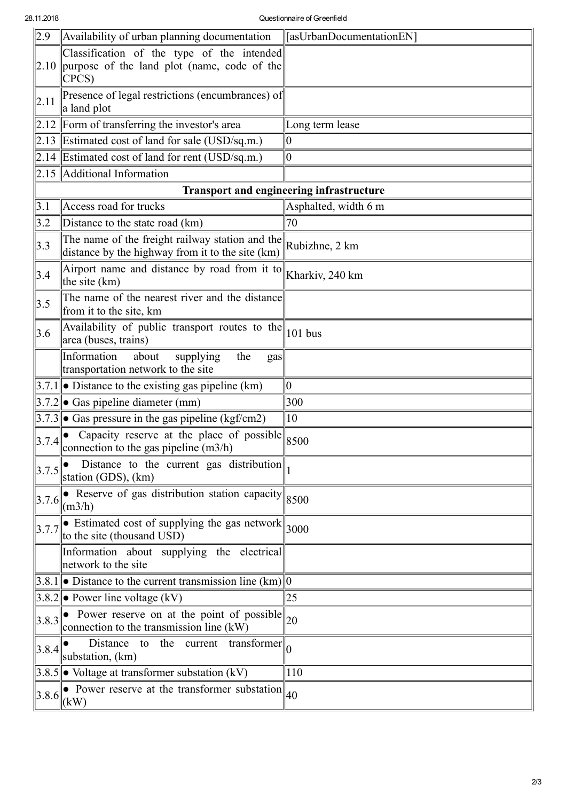| $\sqrt{2.9}$                                    | Availability of urban planning documentation                                                                                       | [asUrbanDocumentationEN] |  |  |
|-------------------------------------------------|------------------------------------------------------------------------------------------------------------------------------------|--------------------------|--|--|
| 2.10                                            | Classification of the type of the intended<br>purpose of the land plot (name, code of the<br>CPCS)                                 |                          |  |  |
| 2.11                                            | Presence of legal restrictions (encumbrances) of<br>a land plot                                                                    |                          |  |  |
|                                                 | $\vert 2.12 \vert$ Form of transferring the investor's area                                                                        | Long term lease          |  |  |
|                                                 | $\vert 2.13 \vert$ Estimated cost of land for sale (USD/sq.m.)                                                                     | 10                       |  |  |
|                                                 | 2.14 Estimated cost of land for rent (USD/sq.m.)                                                                                   | 0                        |  |  |
|                                                 | 2.15 Additional Information                                                                                                        |                          |  |  |
| <b>Transport and engineering infrastructure</b> |                                                                                                                                    |                          |  |  |
| 3.1                                             | Access road for trucks                                                                                                             | Asphalted, width 6 m     |  |  |
| 3.2                                             | Distance to the state road (km)                                                                                                    | 70                       |  |  |
| 3.3                                             | The name of the freight railway station and the<br>distance by the highway from it to the site (km)                                | Rubizhne, 2 km           |  |  |
| 3.4                                             | Airport name and distance by road from it to<br>the site (km)                                                                      | Kharkiv, 240 km          |  |  |
| 3.5                                             | The name of the nearest river and the distance<br>from it to the site, km                                                          |                          |  |  |
| 3.6                                             | Availability of public transport routes to the $\ $ 101 bus<br>area (buses, trains)                                                |                          |  |  |
|                                                 | Information<br>about<br>supplying<br>the<br>gas<br>transportation network to the site                                              |                          |  |  |
|                                                 | $ 3.7.1 $ Distance to the existing gas pipeline (km)                                                                               | 10                       |  |  |
|                                                 | $ 3.7.2 $ Gas pipeline diameter (mm)                                                                                               | 300                      |  |  |
|                                                 | $ 3.7.3 $ • Gas pressure in the gas pipeline (kgf/cm2)                                                                             | 10                       |  |  |
| 3.7.4                                           | Capacity reserve at the place of possible<br>connection to the gas pipeline $(m3/h)$                                               | 8500                     |  |  |
| 3.7.5                                           | Distance to the current gas distribution $\Vert_1$<br>station (GDS), (km)                                                          |                          |  |  |
| 3.7.6                                           | Reserve of gas distribution station capacity $ 8500 $<br>$\text{m3/h}$                                                             |                          |  |  |
| $\left\ 3.7.7\right\ $                          | Estimated cost of supplying the gas network $\parallel$ 3000<br>to the site (thousand USD)                                         |                          |  |  |
|                                                 | Information about supplying the electrical<br>network to the site                                                                  |                          |  |  |
|                                                 | 3.8.1  ● Distance to the current transmission line (km)  0                                                                         |                          |  |  |
|                                                 | $ 3.8.2 $ • Power line voltage (kV)                                                                                                | 25                       |  |  |
|                                                 | $\left\ 3.8.3\right\ $ Power reserve on at the point of possible $\left\ 20\right\ $<br>connection to the transmission line $(kW)$ |                          |  |  |
| 3.8.4                                           | Distance to the current transformer $\parallel_0$<br>substation, (km)                                                              |                          |  |  |
|                                                 | $\vert 3.8.5 \vert \vert \bullet$ Voltage at transformer substation (kV)                                                           | 110                      |  |  |
|                                                 | • Power reserve at the transformer substation $\vert_{40}$<br>$\left 3.8.6\right _{(kW)}$                                          |                          |  |  |